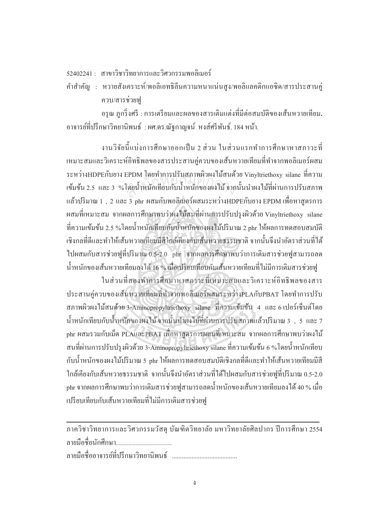$52402241$   $\cdot$  สาขาวิชาวิทยาการและวิศวกรรมพอลิเมอร์

คำสำคัญ : หวายสังเคราะห์/พอลิเอทธิลีนความหนาแน่นสูง/พอลิแลคติกแอซิด/สารประสานคู่ ควบ/สารช่วยฟ

ือรุณ ภูกริ่งศรี : การเตรียมและผลของสารเติมแต่งที่มีต่อสมบัติของเส้นหวายเทียม**.** ือาจารย์ที่ปรึกษาวิทยานิพนธ์ : ผศ.คร.ณัฐกาญจน์ หงส์ศรีพันธ์. 184 หน้า.

งานวิจัยนี้แบ่งการศึกษาออกเป็น 2 ส่วน ในส่วนแรกทำการศึกษาหาสภาวะที่ เหมาะสมและวิเคราะห์อิทธิพลของสารประสานค่ควบของเส้นหวายเทียมที่ทำจากพอลิเมอร์ผสม ระหว่างHDPEกับยาง EPDM โดยทำการปรับสภาพผิวผงไม้สนด้วย Vinyltriethoxy silane ที่ความ เข้มข้น 2.5 และ 3 %โดยน้ำหนักเทียบกับน้ำหนักของผงไม้ จากนั้นนำผงไม้ที่ผ่านการปรับสภาพ แล้วปริมาณ 1 , 2 และ 3 phr ผสมกับพอลิเมอร์ผสมระหว่างHDPEกับยาง EPDM เพื่อหาสูตรการ ºÉ ผสมที่เหมาะสม จากผลการศึกษาพบว่าผงไม้สนที่ผ่านการปรับปรุงผิวด้วย Vinyltriethoxy silane ∫ ที่ความเข้มข้น 2.5 %โดยน้ำหนักเทียบกับน้ำหนักของผงไม้ปริมาณ 2 phr ให้ผลการทดสอบสมบัติ เชิงกลที่ดีและทำให้เส้นหวายเทียมมีสีใกล้เคียงกับเส้นหวายธรรมชาติ จากนั้นจึงนำอัตราส่วนที่ได้ ้ ไปผสมกับสารช่วยฟูที่ปริมาณ 0.5-2.0 phr จากผลการศึกษาพบว่าการเติมสารช่วยฟูสามารถลด น้ำหนักของเส้นหวายเทียมลงได้ 16 % เมื่อเปรียบเทียบกับเส้นหวายเทียมที่ไม่มีการเดิมสารช่วยฟู ะPDM เพื่อที่กำเนินนิยมกับเพิ่มพง เมถนพ<br>โดยน้ำหนักเทียบกับน้ำหนักของผงใม้ จาก

ในส่วนที่สองทำการศึกษาหาสภาวะที่เหมาะสมและวิเคราะห์อิทธิพลของสาร ประสานคู่ควบของเส้นหวายเทียมที่ทำจากพอลิเมอร์ผสมระหว่างPLAกับPBAT โดยทำการปรับ ิสภาพผิวผงไม้สนค้วย 3-Aminopropyltriethoxy silane ที่ความเข้มข้น 4 และ 6 เปอร์เซ็นต์โดย น้ำหนักเทียบกับน้ำหนักของผงไม้ จากนั้นนำผงไม้ที่ผ่านการปรับสภาพแล้วปริมาณ 3 , 5 และ 7 phr ผสมรวมกับเม็ด PLAและPBAT เพื่อหาสูตรการผสมที่เหมาะสม จากผลการศึกษาพบว่าผงไม้ ºÉ 。 สนที่ผ่านการปรับปรุงผิวด้วย 3-Aminopropyltriethoxy silane ที่ความเข้มข้น 6 % โดยน้ำหนักเทียบ กับน้ำหนักของผงไม้ปริมาณ 5 <sub>phr</sub> ให้ผลการทดสอบสมบัติเชิงกลที่ดีและทำให้เส้นหวายเทียมมีสี ใกล้เคียงกับเส้นหวายธรรมชาติ จากนั้นจึงนำอัตราส่วนที่ได้ไปผสมกับสารช่วยฟูที่ปริมาณ 0.5-2.0 phr จากผลการศึกษาพบว่าการเติมสารช่วยฟูสามารถลดน้ำหนักของเส้นหวายเทียมลง ได้ 40 % เมื่อ เปรียบเทียบกับเส้นหวายเทียมที่ไม่มีการเติมสารช่วยฟู

ภาควิชาวิทยาการและวิศวกรรมวัสดุ บัณฑิตวิทยาลัย มหาวิทยาลัยศิลปากร ปีการศึกษา 2554 ¨µ¥¤º° °«´ ¹¬µ........................................ ºÉ

¨µ¥¤º° °°µµ¦¥r¸É¦¹¬µª·¥µ·¡r ........................................ ºÉ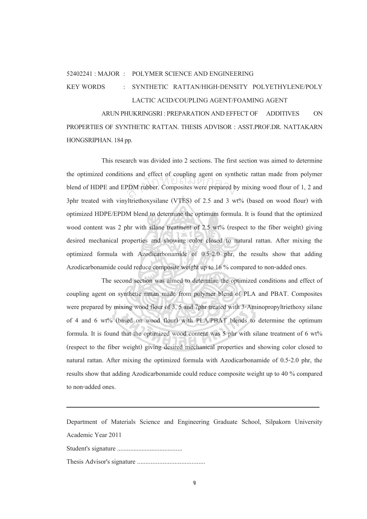## 52402241 : MAJOR : POLYMER SCIENCE AND ENGINEERING

## KEY WORDS : SYNTHETIC RATTAN/HIGH-DENSITY POLYETHYLENE/POLY LACTIC ACID/COUPLING AGENT/FOAMING AGENT

 ARUN PHUKRINGSRI : PREPARATION AND EFFECT OF ADDITIVES ON PROPERTIES OF SYNTHETIC RATTAN. THESIS ADVISOR : ASST.PROF.DR. NATTAKARN HONGSRIPHAN. 184 pp.

This research was divided into 2 sections. The first section was aimed to determine the optimized conditions and effect of coupling agent on synthetic rattan made from polymer blend of HDPE and EPDM rubber. Composites were prepared by mixing wood flour of 1, 2 and 3phr treated with vinyltriethoxysilane (VTES) of 2.5 and 3 wt% (based on wood flour) with optimized HDPE/EPDM blend to determine the optimum formula. It is found that the optimized wood content was 2 phr with silane treatment of 2.5 wt% (respect to the fiber weight) giving desired mechanical properties and showing color closed to natural rattan. After mixing the optimized formula with Azodicarbonamide of 0.5-2.0 phr, the results show that adding Azodicarbonamide could reduce composite weight up to 16 % compared to non-added ones. PDM rubber. Composites were prepared b

 The second section was aimed to determine the optimized conditions and effect of coupling agent on synthetic rattan made from polymer blend of PLA and PBAT. Composites were prepared by mixing wood flour of 3, 5 and 7phr treated with 3-Aminopropyltriethoxy silane of 4 and 6 wt% (based on wood flour) with PLA/PBAT blends to determine the optimum formula. It is found that the optimized wood content was 5 phr with silane treatment of 6 wt% (respect to the fiber weight) giving desired mechanical properties and showing color closed to natural rattan. After mixing the optimized formula with Azodicarbonamide of 0.5-2.0 phr, the results show that adding Azodicarbonamide could reduce composite weight up to 40 % compared to non-added ones.

Department of Materials Science and Engineering Graduate School, Silpakorn University Academic Year 2011

|--|

Thesis Advisor's signature ........................................